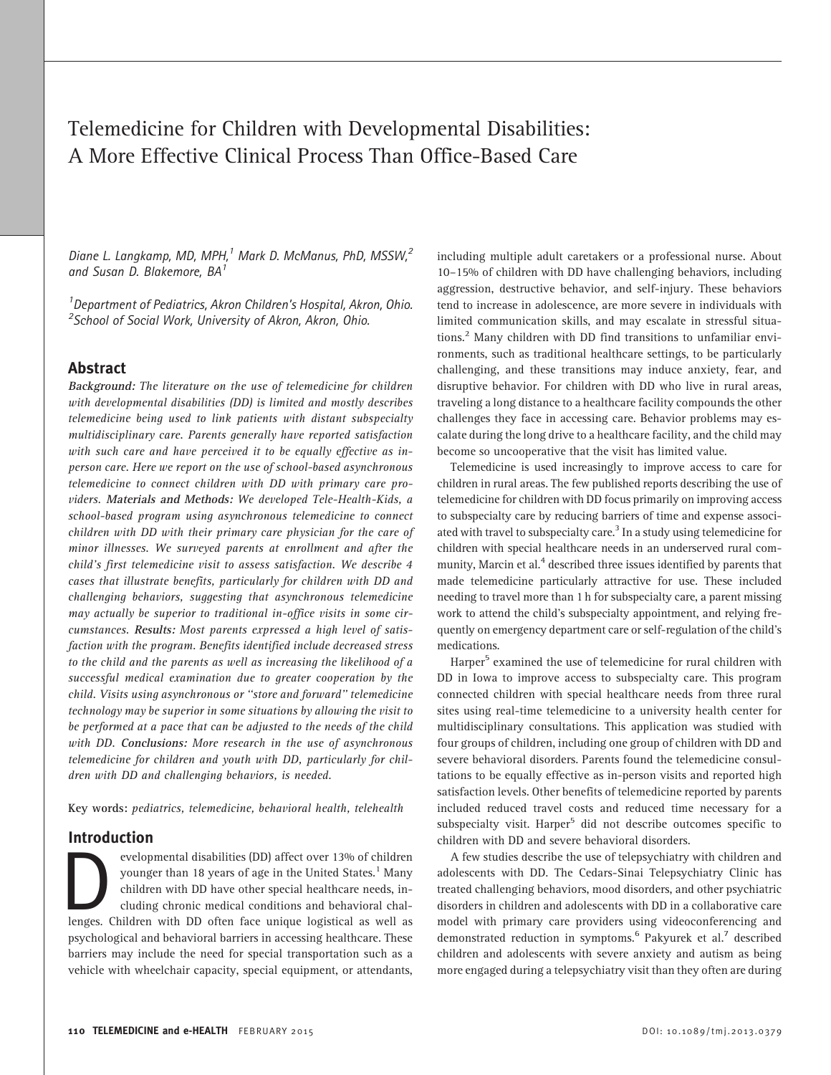# Telemedicine for Children with Developmental Disabilities: A More Effective Clinical Process Than Office-Based Care

Diane L. Langkamp, MD, MPH, $<sup>1</sup>$  Mark D. McManus, PhD, MSSW, $<sup>2</sup>$ </sup></sup> and Susan D. Blakemore, BA<sup>1</sup>

<sup>1</sup> Department of Pediatrics, Akron Children's Hospital, Akron, Ohio. <sup>2</sup> School of Social Work, University of Akron, Akron, Ohio.

## Abstract

Background: The literature on the use of telemedicine for children with developmental disabilities (DD) is limited and mostly describes telemedicine being used to link patients with distant subspecialty multidisciplinary care. Parents generally have reported satisfaction with such care and have perceived it to be equally effective as inperson care. Here we report on the use of school-based asynchronous telemedicine to connect children with DD with primary care providers. Materials and Methods: We developed Tele-Health-Kids, a school-based program using asynchronous telemedicine to connect children with DD with their primary care physician for the care of minor illnesses. We surveyed parents at enrollment and after the child's first telemedicine visit to assess satisfaction. We describe 4 cases that illustrate benefits, particularly for children with DD and challenging behaviors, suggesting that asynchronous telemedicine may actually be superior to traditional in-office visits in some circumstances. Results: Most parents expressed a high level of satisfaction with the program. Benefits identified include decreased stress to the child and the parents as well as increasing the likelihood of a successful medical examination due to greater cooperation by the child. Visits using asynchronous or ''store and forward'' telemedicine technology may be superior in some situations by allowing the visit to be performed at a pace that can be adjusted to the needs of the child with DD. Conclusions: More research in the use of asynchronous telemedicine for children and youth with DD, particularly for children with DD and challenging behaviors, is needed.

Key words: pediatrics, telemedicine, behavioral health, telehealth

## Introduction

evelopmental disabilities (DD) affect over 13% of children<br>
younger than 18 years of age in the United States.<sup>1</sup> Many<br>
children with DD have other special healthcare needs, in-<br>
cluding chronic medical conditions and beha younger than 18 years of age in the United States.<sup>1</sup> Many children with DD have other special healthcare needs, including chronic medical conditions and behavioral chalpsychological and behavioral barriers in accessing healthcare. These barriers may include the need for special transportation such as a vehicle with wheelchair capacity, special equipment, or attendants, including multiple adult caretakers or a professional nurse. About 10–15% of children with DD have challenging behaviors, including aggression, destructive behavior, and self-injury. These behaviors tend to increase in adolescence, are more severe in individuals with limited communication skills, and may escalate in stressful situations.<sup>2</sup> Many children with DD find transitions to unfamiliar environments, such as traditional healthcare settings, to be particularly challenging, and these transitions may induce anxiety, fear, and disruptive behavior. For children with DD who live in rural areas, traveling a long distance to a healthcare facility compounds the other challenges they face in accessing care. Behavior problems may escalate during the long drive to a healthcare facility, and the child may become so uncooperative that the visit has limited value.

Telemedicine is used increasingly to improve access to care for children in rural areas. The few published reports describing the use of telemedicine for children with DD focus primarily on improving access to subspecialty care by reducing barriers of time and expense associated with travel to subspecialty care. $3$  In a study using telemedicine for children with special healthcare needs in an underserved rural community, Marcin et al. $4$  described three issues identified by parents that made telemedicine particularly attractive for use. These included needing to travel more than 1 h for subspecialty care, a parent missing work to attend the child's subspecialty appointment, and relying frequently on emergency department care or self-regulation of the child's medications.

Harper<sup>5</sup> examined the use of telemedicine for rural children with DD in Iowa to improve access to subspecialty care. This program connected children with special healthcare needs from three rural sites using real-time telemedicine to a university health center for multidisciplinary consultations. This application was studied with four groups of children, including one group of children with DD and severe behavioral disorders. Parents found the telemedicine consultations to be equally effective as in-person visits and reported high satisfaction levels. Other benefits of telemedicine reported by parents included reduced travel costs and reduced time necessary for a subspecialty visit. Harper<sup>5</sup> did not describe outcomes specific to children with DD and severe behavioral disorders.

A few studies describe the use of telepsychiatry with children and adolescents with DD. The Cedars-Sinai Telepsychiatry Clinic has treated challenging behaviors, mood disorders, and other psychiatric disorders in children and adolescents with DD in a collaborative care model with primary care providers using videoconferencing and demonstrated reduction in symptoms.<sup>6</sup> Pakyurek et al.<sup>7</sup> described children and adolescents with severe anxiety and autism as being more engaged during a telepsychiatry visit than they often are during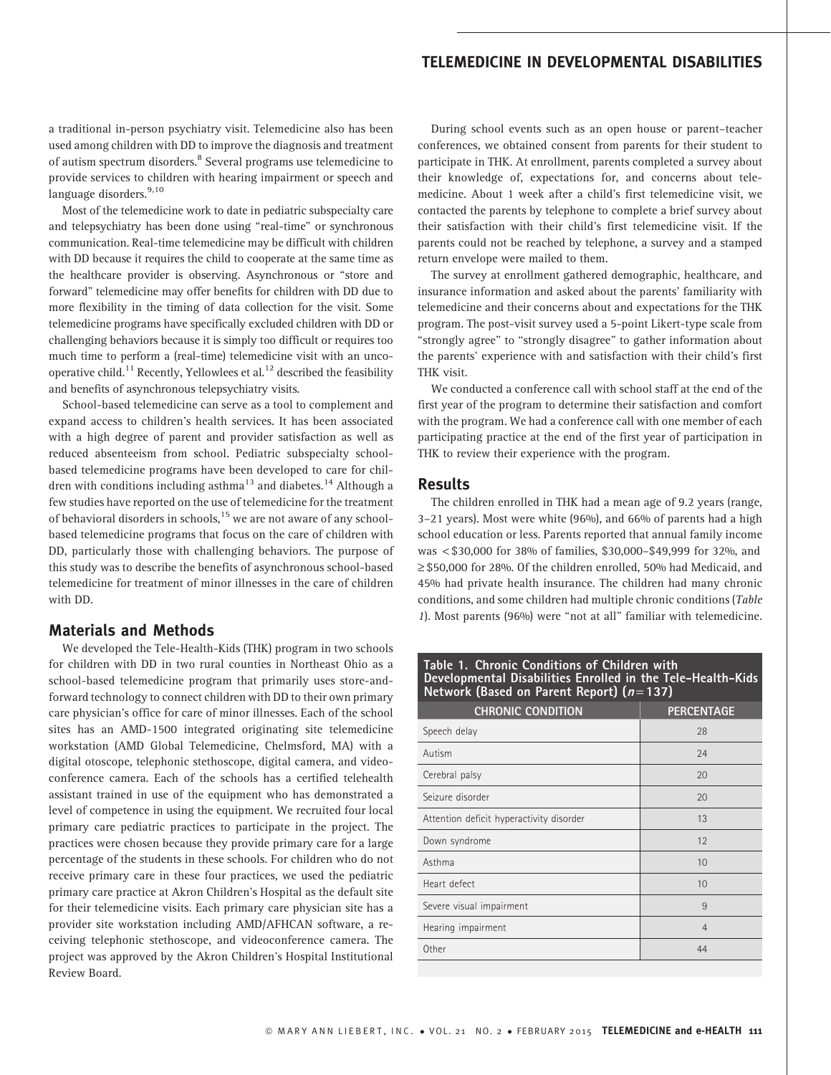# TELEMEDICINE IN DEVELOPMENTAL DISABILITIES

a traditional in-person psychiatry visit. Telemedicine also has been used among children with DD to improve the diagnosis and treatment of autism spectrum disorders.<sup>8</sup> Several programs use telemedicine to provide services to children with hearing impairment or speech and language disorders.<sup>9,10</sup>

Most of the telemedicine work to date in pediatric subspecialty care and telepsychiatry has been done using ''real-time'' or synchronous communication. Real-time telemedicine may be difficult with children with DD because it requires the child to cooperate at the same time as the healthcare provider is observing. Asynchronous or ''store and forward'' telemedicine may offer benefits for children with DD due to more flexibility in the timing of data collection for the visit. Some telemedicine programs have specifically excluded children with DD or challenging behaviors because it is simply too difficult or requires too much time to perform a (real-time) telemedicine visit with an uncooperative child.<sup>11</sup> Recently, Yellowlees et al.<sup>12</sup> described the feasibility and benefits of asynchronous telepsychiatry visits.

School-based telemedicine can serve as a tool to complement and expand access to children's health services. It has been associated with a high degree of parent and provider satisfaction as well as reduced absenteeism from school. Pediatric subspecialty schoolbased telemedicine programs have been developed to care for children with conditions including asthma<sup>13</sup> and diabetes.<sup>14</sup> Although a few studies have reported on the use of telemedicine for the treatment of behavioral disorders in schools,  $15$  we are not aware of any schoolbased telemedicine programs that focus on the care of children with DD, particularly those with challenging behaviors. The purpose of this study was to describe the benefits of asynchronous school-based telemedicine for treatment of minor illnesses in the care of children with DD.

## Materials and Methods

We developed the Tele-Health-Kids (THK) program in two schools for children with DD in two rural counties in Northeast Ohio as a school-based telemedicine program that primarily uses store-andforward technology to connect children with DD to their own primary care physician's office for care of minor illnesses. Each of the school sites has an AMD-1500 integrated originating site telemedicine workstation (AMD Global Telemedicine, Chelmsford, MA) with a digital otoscope, telephonic stethoscope, digital camera, and videoconference camera. Each of the schools has a certified telehealth assistant trained in use of the equipment who has demonstrated a level of competence in using the equipment. We recruited four local primary care pediatric practices to participate in the project. The practices were chosen because they provide primary care for a large percentage of the students in these schools. For children who do not receive primary care in these four practices, we used the pediatric primary care practice at Akron Children's Hospital as the default site for their telemedicine visits. Each primary care physician site has a provider site workstation including AMD/AFHCAN software, a receiving telephonic stethoscope, and videoconference camera. The project was approved by the Akron Children's Hospital Institutional Review Board.

During school events such as an open house or parent–teacher conferences, we obtained consent from parents for their student to participate in THK. At enrollment, parents completed a survey about their knowledge of, expectations for, and concerns about telemedicine. About 1 week after a child's first telemedicine visit, we contacted the parents by telephone to complete a brief survey about their satisfaction with their child's first telemedicine visit. If the parents could not be reached by telephone, a survey and a stamped return envelope were mailed to them.

The survey at enrollment gathered demographic, healthcare, and insurance information and asked about the parents' familiarity with telemedicine and their concerns about and expectations for the THK program. The post-visit survey used a 5-point Likert-type scale from ''strongly agree'' to ''strongly disagree'' to gather information about the parents' experience with and satisfaction with their child's first THK visit.

We conducted a conference call with school staff at the end of the first year of the program to determine their satisfaction and comfort with the program. We had a conference call with one member of each participating practice at the end of the first year of participation in THK to review their experience with the program.

#### Results

The children enrolled in THK had a mean age of 9.2 years (range, 3–21 years). Most were white (96%), and 66% of parents had a high school education or less. Parents reported that annual family income was < \$30,000 for 38% of families, \$30,000–\$49,999 for 32%, and  $\geq$  \$50,000 for 28%. Of the children enrolled, 50% had Medicaid, and 45% had private health insurance. The children had many chronic conditions, and some children had multiple chronic conditions (Table 1). Most parents (96%) were ''not at all'' familiar with telemedicine.

| l Table 1. Chronic Conditions of Children with              |
|-------------------------------------------------------------|
| Developmental Disabilities Enrolled in the Tele-Health-Kids |
| Network (Based on Parent Report) ( $n=137$ )                |

| <b>CHRONIC CONDITION</b>                 | <b>PERCENTAGE</b> |
|------------------------------------------|-------------------|
| Speech delay                             | 28                |
| Autism                                   | 24                |
| Cerebral palsy                           | 20                |
| Seizure disorder                         | 20                |
| Attention deficit hyperactivity disorder | 13                |
| Down syndrome                            | 12                |
| Asthma                                   | 10                |
| Heart defect                             | 10                |
| Severe visual impairment                 | 9                 |
| Hearing impairment                       | $\overline{4}$    |
| Other                                    | 44                |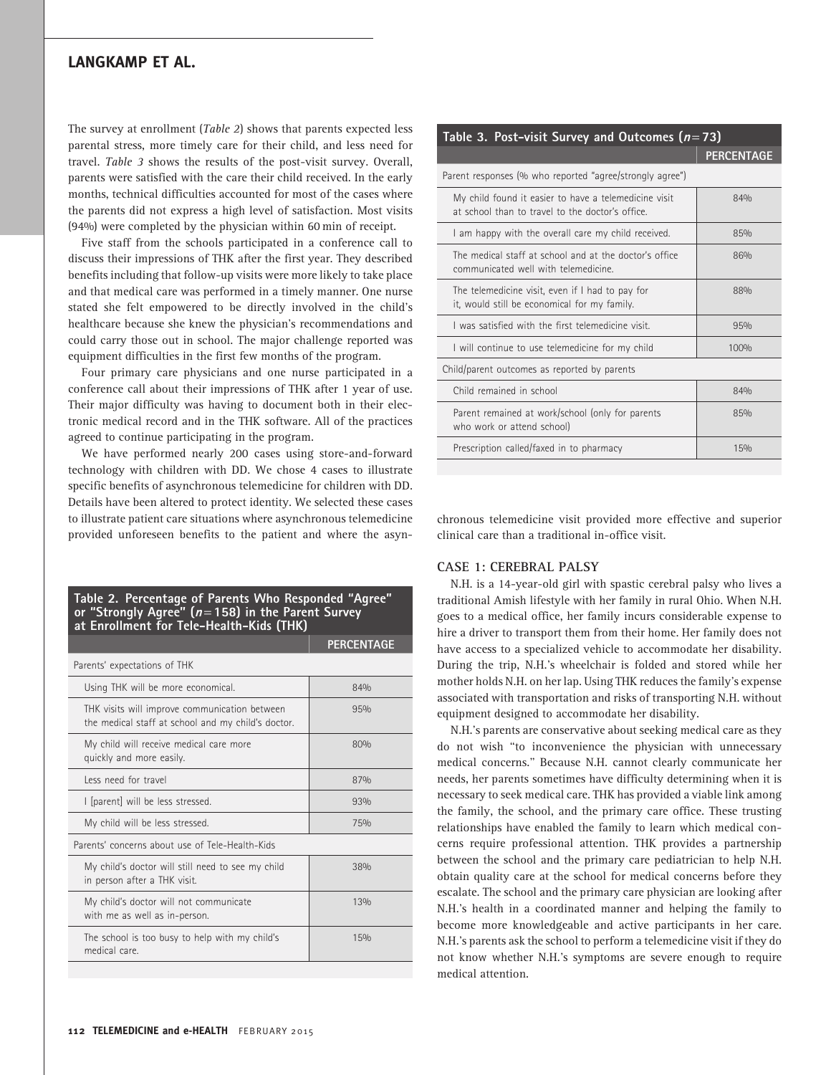# LANGKAMP ET AL.

The survey at enrollment (Table 2) shows that parents expected less parental stress, more timely care for their child, and less need for travel. Table 3 shows the results of the post-visit survey. Overall, parents were satisfied with the care their child received. In the early months, technical difficulties accounted for most of the cases where the parents did not express a high level of satisfaction. Most visits (94%) were completed by the physician within 60 min of receipt.

Five staff from the schools participated in a conference call to discuss their impressions of THK after the first year. They described benefits including that follow-up visits were more likely to take place and that medical care was performed in a timely manner. One nurse stated she felt empowered to be directly involved in the child's healthcare because she knew the physician's recommendations and could carry those out in school. The major challenge reported was equipment difficulties in the first few months of the program.

Four primary care physicians and one nurse participated in a conference call about their impressions of THK after 1 year of use. Their major difficulty was having to document both in their electronic medical record and in the THK software. All of the practices agreed to continue participating in the program.

We have performed nearly 200 cases using store-and-forward technology with children with DD. We chose 4 cases to illustrate specific benefits of asynchronous telemedicine for children with DD. Details have been altered to protect identity. We selected these cases to illustrate patient care situations where asynchronous telemedicine provided unforeseen benefits to the patient and where the asyn-

Table 2. Percentage of Parents Who Responded ''Agree'' or "Strongly Agree" ( $n = 158$ ) in the Parent Survey at Enrollment for Tele-Health-Kids (THK)

|                                                                                                     | PERCENTAGE |
|-----------------------------------------------------------------------------------------------------|------------|
| Parents' expectations of THK                                                                        |            |
| Using THK will be more economical.                                                                  | 84%        |
| THK visits will improve communication between<br>the medical staff at school and my child's doctor. | 95%        |
| My child will receive medical care more<br>quickly and more easily.                                 | 80%        |
| less need for travel                                                                                | 87%        |
| I [parent] will be less stressed.                                                                   | 93%        |
| My child will be less stressed.                                                                     | 75%        |
| Parents' concerns about use of Tele-Health-Kids                                                     |            |
| My child's doctor will still need to see my child<br>in person after a THK visit.                   | 38%        |
| My child's doctor will not communicate<br>with me as well as in-person.                             | 13%        |
| The school is too busy to help with my child's<br>medical care.                                     | 15%        |
|                                                                                                     |            |

| Table 3. Post-visit Survey and Outcomes $(n=73)$                                                          |                   |  |
|-----------------------------------------------------------------------------------------------------------|-------------------|--|
|                                                                                                           | <b>PERCENTAGE</b> |  |
| Parent responses (% who reported "agree/strongly agree")                                                  |                   |  |
| My child found it easier to have a telemedicine visit<br>at school than to travel to the doctor's office. | 84%               |  |
| I am happy with the overall care my child received.                                                       | 85%               |  |
| The medical staff at school and at the doctor's office<br>communicated well with telemedicine             | 86%               |  |
| The telemedicine visit, even if I had to pay for<br>it, would still be economical for my family.          | 88%               |  |
| I was satisfied with the first telemedicine visit                                                         | 95%               |  |
| I will continue to use telemedicine for my child                                                          | 100%              |  |
| Child/parent outcomes as reported by parents                                                              |                   |  |
| Child remained in school                                                                                  | 84%               |  |
| Parent remained at work/school (only for parents<br>who work or attend school)                            | 85%               |  |
| Prescription called/faxed in to pharmacy                                                                  | 15%               |  |

chronous telemedicine visit provided more effective and superior clinical care than a traditional in-office visit.

## CASE 1: CEREBRAL PALSY

N.H. is a 14-year-old girl with spastic cerebral palsy who lives a traditional Amish lifestyle with her family in rural Ohio. When N.H. goes to a medical office, her family incurs considerable expense to hire a driver to transport them from their home. Her family does not have access to a specialized vehicle to accommodate her disability. During the trip, N.H.'s wheelchair is folded and stored while her mother holds N.H. on her lap. Using THK reduces the family's expense associated with transportation and risks of transporting N.H. without equipment designed to accommodate her disability.

N.H.'s parents are conservative about seeking medical care as they do not wish ''to inconvenience the physician with unnecessary medical concerns.'' Because N.H. cannot clearly communicate her needs, her parents sometimes have difficulty determining when it is necessary to seek medical care. THK has provided a viable link among the family, the school, and the primary care office. These trusting relationships have enabled the family to learn which medical concerns require professional attention. THK provides a partnership between the school and the primary care pediatrician to help N.H. obtain quality care at the school for medical concerns before they escalate. The school and the primary care physician are looking after N.H.'s health in a coordinated manner and helping the family to become more knowledgeable and active participants in her care. N.H.'s parents ask the school to perform a telemedicine visit if they do not know whether N.H.'s symptoms are severe enough to require medical attention.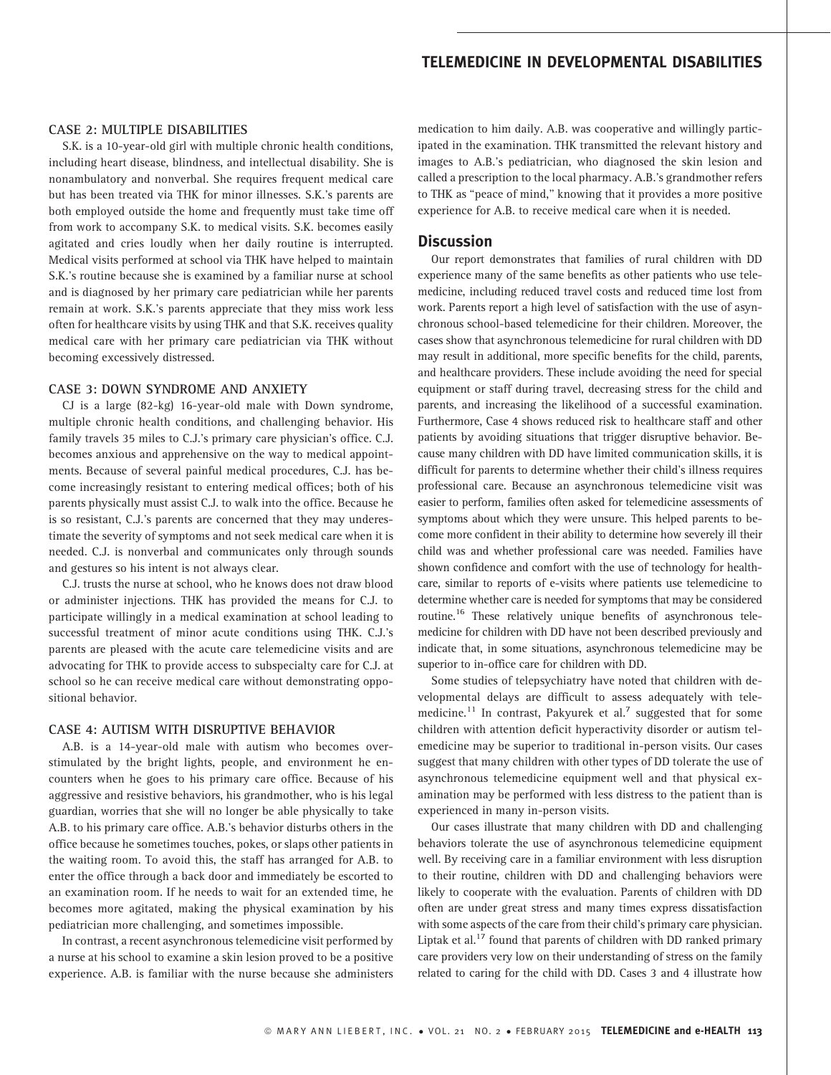# TELEMEDICINE IN DEVELOPMENTAL DISABILITIES

#### CASE 2: MULTIPLE DISABILITIES

S.K. is a 10-year-old girl with multiple chronic health conditions, including heart disease, blindness, and intellectual disability. She is nonambulatory and nonverbal. She requires frequent medical care but has been treated via THK for minor illnesses. S.K.'s parents are both employed outside the home and frequently must take time off from work to accompany S.K. to medical visits. S.K. becomes easily agitated and cries loudly when her daily routine is interrupted. Medical visits performed at school via THK have helped to maintain S.K.'s routine because she is examined by a familiar nurse at school and is diagnosed by her primary care pediatrician while her parents remain at work. S.K.'s parents appreciate that they miss work less often for healthcare visits by using THK and that S.K. receives quality medical care with her primary care pediatrician via THK without becoming excessively distressed.

#### CASE 3: DOWN SYNDROME AND ANXIETY

CJ is a large (82-kg) 16-year-old male with Down syndrome, multiple chronic health conditions, and challenging behavior. His family travels 35 miles to C.J.'s primary care physician's office. C.J. becomes anxious and apprehensive on the way to medical appointments. Because of several painful medical procedures, C.J. has become increasingly resistant to entering medical offices; both of his parents physically must assist C.J. to walk into the office. Because he is so resistant, C.J.'s parents are concerned that they may underestimate the severity of symptoms and not seek medical care when it is needed. C.J. is nonverbal and communicates only through sounds and gestures so his intent is not always clear.

C.J. trusts the nurse at school, who he knows does not draw blood or administer injections. THK has provided the means for C.J. to participate willingly in a medical examination at school leading to successful treatment of minor acute conditions using THK. C.J.'s parents are pleased with the acute care telemedicine visits and are advocating for THK to provide access to subspecialty care for C.J. at school so he can receive medical care without demonstrating oppositional behavior.

#### CASE 4: AUTISM WITH DISRUPTIVE BEHAVIOR

A.B. is a 14-year-old male with autism who becomes overstimulated by the bright lights, people, and environment he encounters when he goes to his primary care office. Because of his aggressive and resistive behaviors, his grandmother, who is his legal guardian, worries that she will no longer be able physically to take A.B. to his primary care office. A.B.'s behavior disturbs others in the office because he sometimes touches, pokes, or slaps other patients in the waiting room. To avoid this, the staff has arranged for A.B. to enter the office through a back door and immediately be escorted to an examination room. If he needs to wait for an extended time, he becomes more agitated, making the physical examination by his pediatrician more challenging, and sometimes impossible.

In contrast, a recent asynchronous telemedicine visit performed by a nurse at his school to examine a skin lesion proved to be a positive experience. A.B. is familiar with the nurse because she administers medication to him daily. A.B. was cooperative and willingly participated in the examination. THK transmitted the relevant history and images to A.B.'s pediatrician, who diagnosed the skin lesion and called a prescription to the local pharmacy. A.B.'s grandmother refers to THK as ''peace of mind,'' knowing that it provides a more positive experience for A.B. to receive medical care when it is needed.

## **Discussion**

Our report demonstrates that families of rural children with DD experience many of the same benefits as other patients who use telemedicine, including reduced travel costs and reduced time lost from work. Parents report a high level of satisfaction with the use of asynchronous school-based telemedicine for their children. Moreover, the cases show that asynchronous telemedicine for rural children with DD may result in additional, more specific benefits for the child, parents, and healthcare providers. These include avoiding the need for special equipment or staff during travel, decreasing stress for the child and parents, and increasing the likelihood of a successful examination. Furthermore, Case 4 shows reduced risk to healthcare staff and other patients by avoiding situations that trigger disruptive behavior. Because many children with DD have limited communication skills, it is difficult for parents to determine whether their child's illness requires professional care. Because an asynchronous telemedicine visit was easier to perform, families often asked for telemedicine assessments of symptoms about which they were unsure. This helped parents to become more confident in their ability to determine how severely ill their child was and whether professional care was needed. Families have shown confidence and comfort with the use of technology for healthcare, similar to reports of e-visits where patients use telemedicine to determine whether care is needed for symptoms that may be considered routine.<sup>16</sup> These relatively unique benefits of asynchronous telemedicine for children with DD have not been described previously and indicate that, in some situations, asynchronous telemedicine may be superior to in-office care for children with DD.

Some studies of telepsychiatry have noted that children with developmental delays are difficult to assess adequately with telemedicine.<sup>11</sup> In contrast, Pakyurek et al.<sup>7</sup> suggested that for some children with attention deficit hyperactivity disorder or autism telemedicine may be superior to traditional in-person visits. Our cases suggest that many children with other types of DD tolerate the use of asynchronous telemedicine equipment well and that physical examination may be performed with less distress to the patient than is experienced in many in-person visits.

Our cases illustrate that many children with DD and challenging behaviors tolerate the use of asynchronous telemedicine equipment well. By receiving care in a familiar environment with less disruption to their routine, children with DD and challenging behaviors were likely to cooperate with the evaluation. Parents of children with DD often are under great stress and many times express dissatisfaction with some aspects of the care from their child's primary care physician. Liptak et al.<sup>17</sup> found that parents of children with DD ranked primary care providers very low on their understanding of stress on the family related to caring for the child with DD. Cases 3 and 4 illustrate how